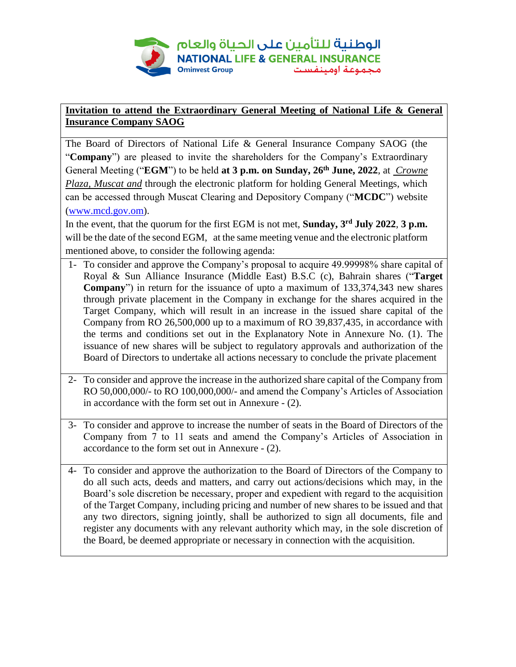

## **Invitation to attend the Extraordinary General Meeting of National Life & General Insurance Company SAOG**

The Board of Directors of National Life & General Insurance Company SAOG (the "**Company**") are pleased to invite the shareholders for the Company's Extraordinary General Meeting ("**EGM**") to be held **at 3 p.m. on Sunday, 26th June, 2022**, at *Crowne Plaza, Muscat and* through the electronic platform for holding General Meetings, which can be accessed through Muscat Clearing and Depository Company ("**MCDC**") website [\(www.mcd.gov.om\)](http://www.mcd.gov.om/).

In the event, that the quorum for the first EGM is not met, **Sunday, 3 rd July 2022**, **3 p.m.** will be the date of the second EGM, at the same meeting venue and the electronic platform mentioned above, to consider the following agenda:

- 1- To consider and approve the Company's proposal to acquire 49.99998% share capital of Royal & Sun Alliance Insurance (Middle East) B.S.C (c), Bahrain shares ("**Target Company**") in return for the issuance of upto a maximum of 133,374,343 new shares through private placement in the Company in exchange for the shares acquired in the Target Company, which will result in an increase in the issued share capital of the Company from RO 26,500,000 up to a maximum of RO 39,837,435, in accordance with the terms and conditions set out in the Explanatory Note in Annexure No. (1). The issuance of new shares will be subject to regulatory approvals and authorization of the Board of Directors to undertake all actions necessary to conclude the private placement
- 2- To consider and approve the increase in the authorized share capital of the Company from RO 50,000,000/- to RO 100,000,000/- and amend the Company's Articles of Association in accordance with the form set out in Annexure - (2).
- 3- To consider and approve to increase the number of seats in the Board of Directors of the Company from 7 to 11 seats and amend the Company's Articles of Association in accordance to the form set out in Annexure - (2).
- 4- To consider and approve the authorization to the Board of Directors of the Company to do all such acts, deeds and matters, and carry out actions/decisions which may, in the Board's sole discretion be necessary, proper and expedient with regard to the acquisition of the Target Company, including pricing and number of new shares to be issued and that any two directors, signing jointly, shall be authorized to sign all documents, file and register any documents with any relevant authority which may, in the sole discretion of the Board, be deemed appropriate or necessary in connection with the acquisition.